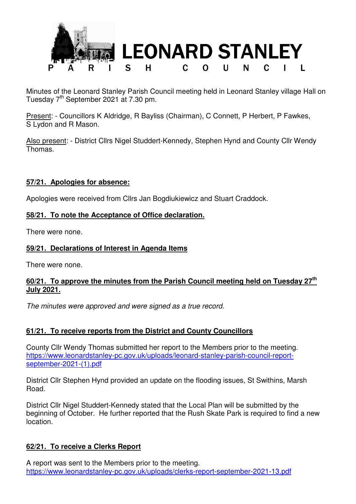

Minutes of the Leonard Stanley Parish Council meeting held in Leonard Stanley village Hall on Tuesday  $7<sup>th</sup>$  September 2021 at 7.30 pm.

Present: - Councillors K Aldridge, R Bayliss (Chairman), C Connett, P Herbert, P Fawkes, S Lydon and R Mason.

Also present: - District Cllrs Nigel Studdert-Kennedy, Stephen Hynd and County Cllr Wendy Thomas.

### **57/21. Apologies for absence:**

Apologies were received from Cllrs Jan Bogdiukiewicz and Stuart Craddock.

# **58/21. To note the Acceptance of Office declaration.**

There were none.

# **59/21. Declarations of Interest in Agenda Items**

There were none.

# **60/21. To approve the minutes from the Parish Council meeting held on Tuesday 27th July 2021.**

The minutes were approved and were signed as a true record.

# **61/21. To receive reports from the District and County Councillors**

County Cllr Wendy Thomas submitted her report to the Members prior to the meeting. https://www.leonardstanley-pc.gov.uk/uploads/leonard-stanley-parish-council-reportseptember-2021-(1).pdf

District Cllr Stephen Hynd provided an update on the flooding issues, St Swithins, Marsh Road.

District Cllr Nigel Studdert-Kennedy stated that the Local Plan will be submitted by the beginning of October. He further reported that the Rush Skate Park is required to find a new location.

### **62/21. To receive a Clerks Report**

A report was sent to the Members prior to the meeting. https://www.leonardstanley-pc.gov.uk/uploads/clerks-report-september-2021-13.pdf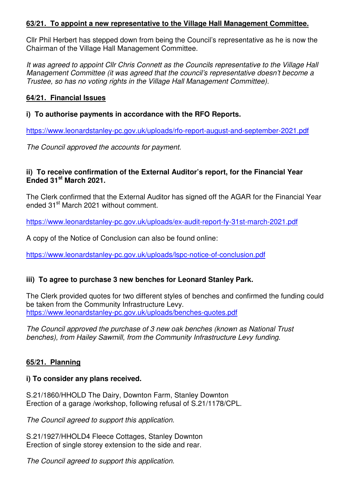### **63/21. To appoint a new representative to the Village Hall Management Committee.**

Cllr Phil Herbert has stepped down from being the Council's representative as he is now the Chairman of the Village Hall Management Committee.

It was agreed to appoint Cllr Chris Connett as the Councils representative to the Village Hall Management Committee (it was agreed that the council's representative doesn't become a Trustee, so has no voting rights in the Village Hall Management Committee).

#### **64/21. Financial Issues**

**i) To authorise payments in accordance with the RFO Reports.** 

https://www.leonardstanley-pc.gov.uk/uploads/rfo-report-august-and-september-2021.pdf

The Council approved the accounts for payment.

#### **ii) To receive confirmation of the External Auditor's report, for the Financial Year Ended 31st March 2021.**

The Clerk confirmed that the External Auditor has signed off the AGAR for the Financial Year ended 31<sup>st</sup> March 2021 without comment.

https://www.leonardstanley-pc.gov.uk/uploads/ex-audit-report-fy-31st-march-2021.pdf

A copy of the Notice of Conclusion can also be found online:

https://www.leonardstanley-pc.gov.uk/uploads/lspc-notice-of-conclusion.pdf

### **iii) To agree to purchase 3 new benches for Leonard Stanley Park.**

The Clerk provided quotes for two different styles of benches and confirmed the funding could be taken from the Community Infrastructure Levy. https://www.leonardstanley-pc.gov.uk/uploads/benches-quotes.pdf

The Council approved the purchase of 3 new oak benches (known as National Trust benches), from Hailey Sawmill, from the Community Infrastructure Levy funding.

### **65/21. Planning**

#### **i) To consider any plans received.**

S.21/1860/HHOLD The Dairy, Downton Farm, Stanley Downton Erection of a garage /workshop, following refusal of S.21/1178/CPL.

The Council agreed to support this application.

S.21/1927/HHOLD4 Fleece Cottages, Stanley Downton Erection of single storey extension to the side and rear.

The Council agreed to support this application.